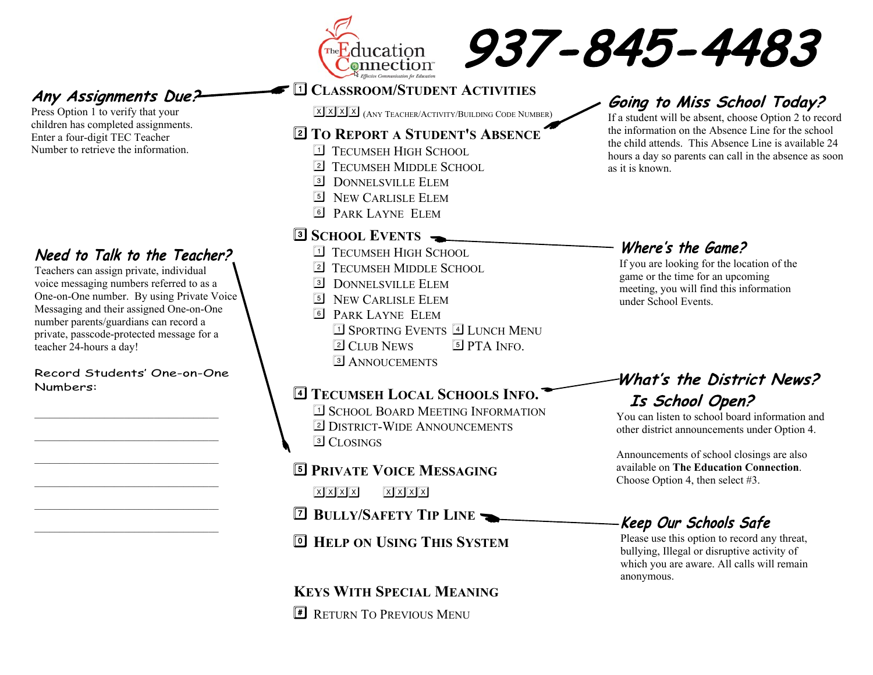



### Any Assignments Due?

Press Option 1 to verify that your children has completed assignments. Enter a four-digit TEC Teacher Number to retrieve the information.

### Need to Talk to the Teacher?

Teachers can assign private, individual voice messaging numbers referred to as a One-on-One number. By using Private Voice Messaging and their assigned One-on-One number parents/guardians can record a private, passcode-protected message for a teacher 24-hours a day!

Record Students' One-on-One Numbers:

\_\_\_\_\_\_\_\_\_\_\_\_\_\_\_\_\_\_\_\_\_\_\_\_\_\_\_\_\_\_\_\_\_\_\_\_\_

\_\_\_\_\_\_\_\_\_\_\_\_\_\_\_\_\_\_\_\_\_\_\_\_\_\_\_\_\_\_\_\_\_\_\_\_\_

\_\_\_\_\_\_\_\_\_\_\_\_\_\_\_\_\_\_\_\_\_\_\_\_\_\_\_\_\_\_\_\_\_\_\_\_\_

\_\_\_\_\_\_\_\_\_\_\_\_\_\_\_\_\_\_\_\_\_\_\_\_\_\_\_\_\_\_\_\_\_\_\_\_\_

\_\_\_\_\_\_\_\_\_\_\_\_\_\_\_\_\_\_\_\_\_\_\_\_\_\_\_\_\_\_\_\_\_\_\_\_\_

### A**CLASSROOM/STUDENT ACTIVITIES** XXXX (ANY TEACHER/ACTIVITY/BUILDING CODE NUMBER)

#### **TO REPORT A STUDENT'S ABSENCE** @

- **1** TECUMSEH HIGH SCHOOL
- **2** TECUMSEH MIDDLE SCHOOL
- **3** DONNEL SVILLE ELEM
- 5 NEW CARLISLE ELEM
- **6 PARK LAYNE ELEM**

### **SCHOOL EVENTS** @

- **1** TECUMSEH HIGH SCHOOL
- **2** TECUMSEH MIDDLE SCHOOL
- **3** DONNEL SVILLE ELEM
- 5 NEW CARLISLE ELEM
- 6 PARK LAYNE ELEM <sup>1</sup> Sporting Events<sup>4</sup> LUNCH MENU
	- **2 CLUB NEWS 5 PTA INFO.**
- **3** ANNOUCEMENTS

#### **TECUMSEH LOCAL SCHOOLS INFO.** @

- **1 SCHOOL BOARD MEETING INFORMATION**
- 2 DISTRICT-WIDE ANNOUNCEMENTS
- **3** CLOSINGS

A

- **PRIVATE VOICE MESSAGING**
	- $\boxed{\mathbf{X} \times \mathbf{X} \times \mathbf{X}}$
- **BULLY/SAFETY TIP LINE** @

### **HELP ON USING THIS SYSTEM**

### **KEYS WITH SPECIAL MEANING**

**E** RETURN TO PREVIOUS MENU

## Going to Miss School Today?

If a student will be absent, choose Option 2 to record the information on the Absence Line for the school the child attends. This Absence Line is available 24 hours a day so parents can call in the absence as soon as it is known.

### Where's the Game?

If you are looking for the location of the game or the time for an upcoming meeting, you will find this information under School Events.

## What's the District News? Is School Open?

You can listen to school board information and other district announcements under Option 4.

Announcements of school closings are also available on **The Education Connection**. Choose Option 4, then select #3.

### -Keep Our Schools Safe

Please use this option to record any threat, bullying, Illegal or disruptive activity of which you are aware. All calls will remain anonymous.